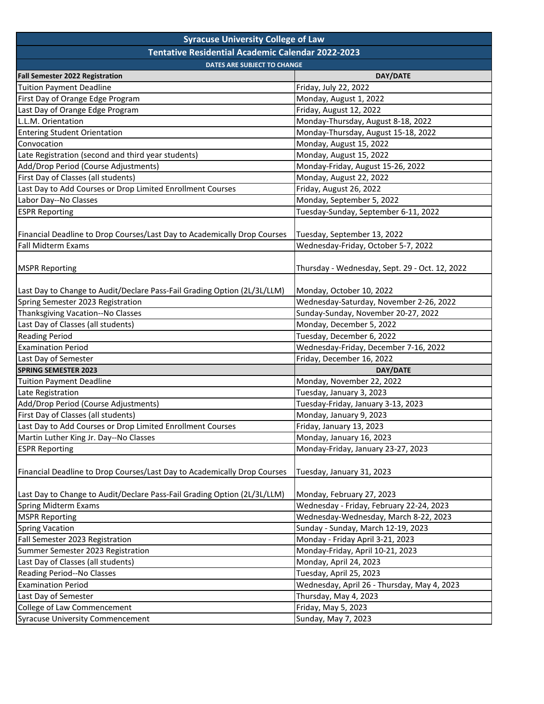| <b>Syracuse University College of Law</b>                                |                                                |  |
|--------------------------------------------------------------------------|------------------------------------------------|--|
| <b>Tentative Residential Academic Calendar 2022-2023</b>                 |                                                |  |
| <b>DATES ARE SUBJECT TO CHANGE</b>                                       |                                                |  |
| <b>Fall Semester 2022 Registration</b>                                   | DAY/DATE                                       |  |
| <b>Tuition Payment Deadline</b>                                          | Friday, July 22, 2022                          |  |
| First Day of Orange Edge Program                                         | Monday, August 1, 2022                         |  |
| Last Day of Orange Edge Program                                          | Friday, August 12, 2022                        |  |
| L.L.M. Orientation                                                       | Monday-Thursday, August 8-18, 2022             |  |
| <b>Entering Student Orientation</b>                                      | Monday-Thursday, August 15-18, 2022            |  |
| Convocation                                                              | Monday, August 15, 2022                        |  |
| Late Registration (second and third year students)                       | Monday, August 15, 2022                        |  |
| Add/Drop Period (Course Adjustments)                                     | Monday-Friday, August 15-26, 2022              |  |
| First Day of Classes (all students)                                      | Monday, August 22, 2022                        |  |
| Last Day to Add Courses or Drop Limited Enrollment Courses               | Friday, August 26, 2022                        |  |
| Labor Day--No Classes                                                    | Monday, September 5, 2022                      |  |
| <b>ESPR Reporting</b>                                                    | Tuesday-Sunday, September 6-11, 2022           |  |
|                                                                          |                                                |  |
| Financial Deadline to Drop Courses/Last Day to Academically Drop Courses | Tuesday, September 13, 2022                    |  |
| <b>Fall Midterm Exams</b>                                                | Wednesday-Friday, October 5-7, 2022            |  |
|                                                                          |                                                |  |
| <b>MSPR Reporting</b>                                                    | Thursday - Wednesday, Sept. 29 - Oct. 12, 2022 |  |
|                                                                          |                                                |  |
| Last Day to Change to Audit/Declare Pass-Fail Grading Option (2L/3L/LLM) | Monday, October 10, 2022                       |  |
| Spring Semester 2023 Registration                                        | Wednesday-Saturday, November 2-26, 2022        |  |
| Thanksgiving Vacation--No Classes                                        | Sunday-Sunday, November 20-27, 2022            |  |
| Last Day of Classes (all students)                                       | Monday, December 5, 2022                       |  |
| <b>Reading Period</b>                                                    | Tuesday, December 6, 2022                      |  |
| <b>Examination Period</b>                                                | Wednesday-Friday, December 7-16, 2022          |  |
| Last Day of Semester                                                     | Friday, December 16, 2022                      |  |
| <b>SPRING SEMESTER 2023</b>                                              | DAY/DATE                                       |  |
| <b>Tuition Payment Deadline</b>                                          | Monday, November 22, 2022                      |  |
| Late Registration                                                        | Tuesday, January 3, 2023                       |  |
| Add/Drop Period (Course Adjustments)                                     | Tuesday-Friday, January 3-13, 2023             |  |
| First Day of Classes (all students)                                      | Monday, January 9, 2023                        |  |
| Last Day to Add Courses or Drop Limited Enrollment Courses               | Friday, January 13, 2023                       |  |
| Martin Luther King Jr. Day--No Classes                                   | Monday, January 16, 2023                       |  |
| <b>ESPR Reporting</b>                                                    | Monday-Friday, January 23-27, 2023             |  |
|                                                                          |                                                |  |
| Financial Deadline to Drop Courses/Last Day to Academically Drop Courses | Tuesday, January 31, 2023                      |  |
|                                                                          |                                                |  |
| Last Day to Change to Audit/Declare Pass-Fail Grading Option (2L/3L/LLM) | Monday, February 27, 2023                      |  |
| Spring Midterm Exams                                                     | Wednesday - Friday, February 22-24, 2023       |  |
| <b>MSPR Reporting</b>                                                    | Wednesday-Wednesday, March 8-22, 2023          |  |
| <b>Spring Vacation</b>                                                   | Sunday - Sunday, March 12-19, 2023             |  |
| Fall Semester 2023 Registration                                          | Monday - Friday April 3-21, 2023               |  |
| Summer Semester 2023 Registration                                        | Monday-Friday, April 10-21, 2023               |  |
| Last Day of Classes (all students)                                       | Monday, April 24, 2023                         |  |
| Reading Period--No Classes                                               | Tuesday, April 25, 2023                        |  |
| <b>Examination Period</b>                                                | Wednesday, April 26 - Thursday, May 4, 2023    |  |
| Last Day of Semester                                                     | Thursday, May 4, 2023                          |  |
| College of Law Commencement                                              | Friday, May 5, 2023                            |  |
| <b>Syracuse University Commencement</b>                                  | Sunday, May 7, 2023                            |  |